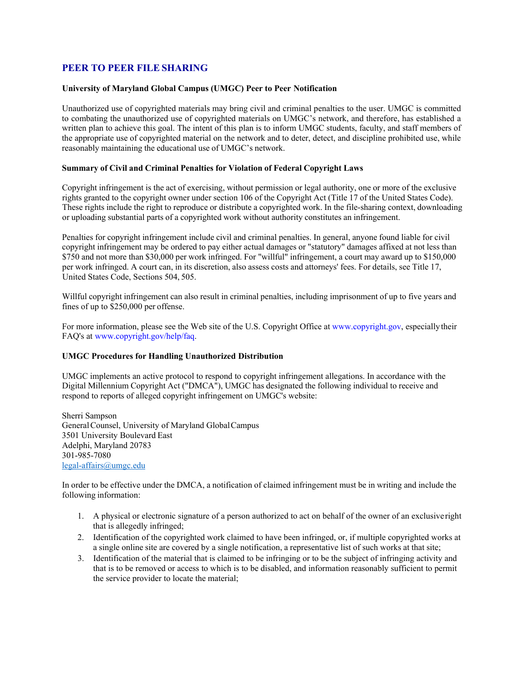## **PEER TO PEER FILE SHARING**

## **University of Maryland Global Campus (UMGC) Peer to Peer Notification**

Unauthorized use of copyrighted materials may bring civil and criminal penalties to the user. UMGC is committed to combating the unauthorized use of copyrighted materials on UMGC's network, and therefore, has established a written plan to achieve this goal. The intent of this plan is to inform UMGC students, faculty, and staff members of the appropriate use of copyrighted material on the network and to deter, detect, and discipline prohibited use, while reasonably maintaining the educational use of UMGC's network.

## **Summary of Civil and Criminal Penalties for Violation of Federal Copyright Laws**

Copyright infringement is the act of exercising, without permission or legal authority, one or more of the exclusive rights granted to the copyright owner under section 106 of the Copyright Act (Title 17 of the United States Code). These rights include the right to reproduce or distribute a copyrighted work. In the file-sharing context, downloading or uploading substantial parts of a copyrighted work without authority constitutes an infringement.

Penalties for copyright infringement include civil and criminal penalties. In general, anyone found liable for civil copyright infringement may be ordered to pay either actual damages or "statutory" damages affixed at not less than \$750 and not more than \$30,000 per work infringed. For "willful" infringement, a court may award up to \$150,000 per work infringed. A court can, in its discretion, also assess costs and attorneys' fees. For details, see Title 17, United States Code, Sections 504, 505.

Willful copyright infringement can also result in criminal penalties, including imprisonment of up to five years and fines of up to \$250,000 per offense.

For more information, please see the Web site of the U.S. Copyright Office at [www.copyright.gov,](http://www.copyright.gov/) especially their FAQ's at [www.copyright.gov/help/faq.](http://www.copyright.gov/help/faq)

## **UMGC Procedures for Handling Unauthorized Distribution**

UMGC implements an active protocol to respond to copyright infringement allegations. In accordance with the Digital Millennium Copyright Act ("DMCA"), UMGC has designated the following individual to receive and respond to reports of alleged copyright infringement on UMGC's website:

Sherri Sampson GeneralCounsel, University of Maryland GlobalCampus 3501 University Boulevard East Adelphi, Maryland 20783 301-985-7080 [legal-affairs@umgc.edu](mailto:legal-affairs@umgc.edu)

In order to be effective under the DMCA, a notification of claimed infringement must be in writing and include the following information:

- 1. A physical or electronic signature of a person authorized to act on behalf of the owner of an exclusive right that is allegedly infringed;
- 2. Identification of the copyrighted work claimed to have been infringed, or, if multiple copyrighted works at a single online site are covered by a single notification, a representative list of such works at that site;
- 3. Identification of the material that is claimed to be infringing or to be the subject of infringing activity and that is to be removed or access to which is to be disabled, and information reasonably sufficient to permit the service provider to locate the material;